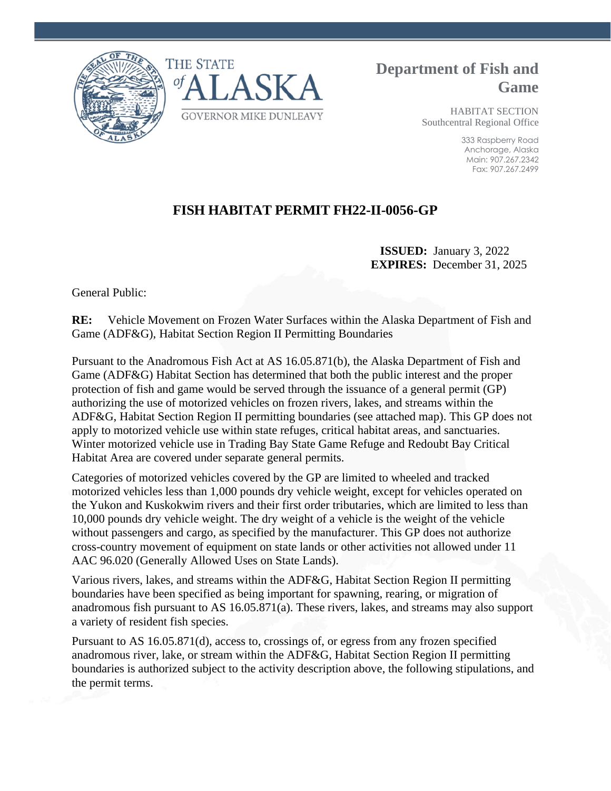



## **Department of Fish and Game**

HABITAT SECTION Southcentral Regional Office

> 333 Raspberry Road Anchorage, Alaska Main: 907.267.2342 Fax: 907.267.2499

## **FISH HABITAT PERMIT FH22-II-0056-GP**

 **ISSUED:** January 3, 2022 **EXPIRES:** December 31, 2025

General Public:

**RE:** Vehicle Movement on Frozen Water Surfaces within the Alaska Department of Fish and Game (ADF&G), Habitat Section Region II Permitting Boundaries

Pursuant to the Anadromous Fish Act at AS 16.05.871(b), the Alaska Department of Fish and Game (ADF&G) Habitat Section has determined that both the public interest and the proper protection of fish and game would be served through the issuance of a general permit (GP) authorizing the use of motorized vehicles on frozen rivers, lakes, and streams within the ADF&G, Habitat Section Region II permitting boundaries (see attached map). This GP does not apply to motorized vehicle use within state refuges, critical habitat areas, and sanctuaries. Winter motorized vehicle use in Trading Bay State Game Refuge and Redoubt Bay Critical Habitat Area are covered under separate general permits.

Categories of motorized vehicles covered by the GP are limited to wheeled and tracked motorized vehicles less than 1,000 pounds dry vehicle weight, except for vehicles operated on the Yukon and Kuskokwim rivers and their first order tributaries, which are limited to less than 10,000 pounds dry vehicle weight. The dry weight of a vehicle is the weight of the vehicle without passengers and cargo, as specified by the manufacturer. This GP does not authorize cross-country movement of equipment on state lands or other activities not allowed under 11 AAC 96.020 (Generally Allowed Uses on State Lands).

Various rivers, lakes, and streams within the ADF&G, Habitat Section Region II permitting boundaries have been specified as being important for spawning, rearing, or migration of anadromous fish pursuant to AS 16.05.871(a). These rivers, lakes, and streams may also support a variety of resident fish species.

Pursuant to AS 16.05.871(d), access to, crossings of, or egress from any frozen specified anadromous river, lake, or stream within the ADF&G, Habitat Section Region II permitting boundaries is authorized subject to the activity description above, the following stipulations, and the permit terms.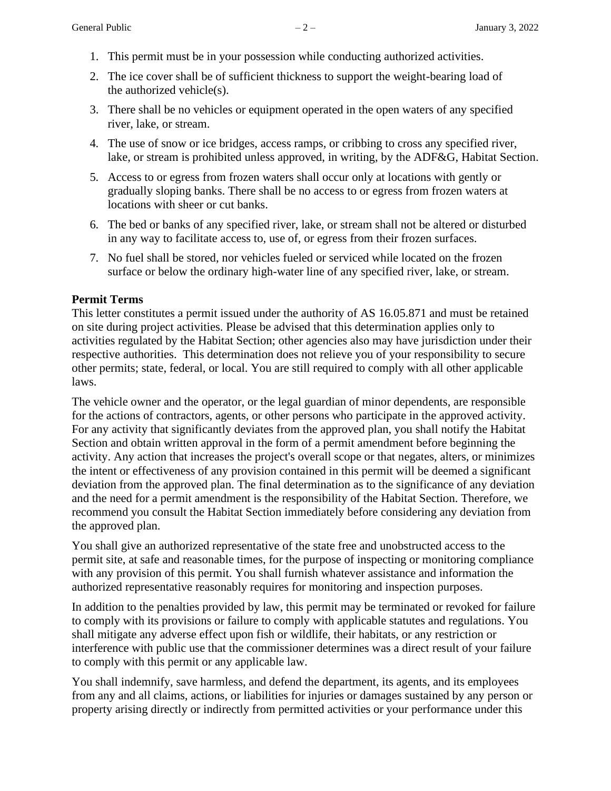- 1. This permit must be in your possession while conducting authorized activities.
- 2. The ice cover shall be of sufficient thickness to support the weight-bearing load of the authorized vehicle(s).
- 3. There shall be no vehicles or equipment operated in the open waters of any specified river, lake, or stream.
- 4. The use of snow or ice bridges, access ramps, or cribbing to cross any specified river, lake, or stream is prohibited unless approved, in writing, by the ADF&G, Habitat Section.
- 5. Access to or egress from frozen waters shall occur only at locations with gently or gradually sloping banks. There shall be no access to or egress from frozen waters at locations with sheer or cut banks.
- 6. The bed or banks of any specified river, lake, or stream shall not be altered or disturbed in any way to facilitate access to, use of, or egress from their frozen surfaces.
- 7. No fuel shall be stored, nor vehicles fueled or serviced while located on the frozen surface or below the ordinary high-water line of any specified river, lake, or stream.

## **Permit Terms**

This letter constitutes a permit issued under the authority of AS 16.05.871 and must be retained on site during project activities. Please be advised that this determination applies only to activities regulated by the Habitat Section; other agencies also may have jurisdiction under their respective authorities. This determination does not relieve you of your responsibility to secure other permits; state, federal, or local. You are still required to comply with all other applicable laws.

The vehicle owner and the operator, or the legal guardian of minor dependents, are responsible for the actions of contractors, agents, or other persons who participate in the approved activity. For any activity that significantly deviates from the approved plan, you shall notify the Habitat Section and obtain written approval in the form of a permit amendment before beginning the activity. Any action that increases the project's overall scope or that negates, alters, or minimizes the intent or effectiveness of any provision contained in this permit will be deemed a significant deviation from the approved plan. The final determination as to the significance of any deviation and the need for a permit amendment is the responsibility of the Habitat Section. Therefore, we recommend you consult the Habitat Section immediately before considering any deviation from the approved plan.

You shall give an authorized representative of the state free and unobstructed access to the permit site, at safe and reasonable times, for the purpose of inspecting or monitoring compliance with any provision of this permit. You shall furnish whatever assistance and information the authorized representative reasonably requires for monitoring and inspection purposes.

In addition to the penalties provided by law, this permit may be terminated or revoked for failure to comply with its provisions or failure to comply with applicable statutes and regulations. You shall mitigate any adverse effect upon fish or wildlife, their habitats, or any restriction or interference with public use that the commissioner determines was a direct result of your failure to comply with this permit or any applicable law.

You shall indemnify, save harmless, and defend the department, its agents, and its employees from any and all claims, actions, or liabilities for injuries or damages sustained by any person or property arising directly or indirectly from permitted activities or your performance under this